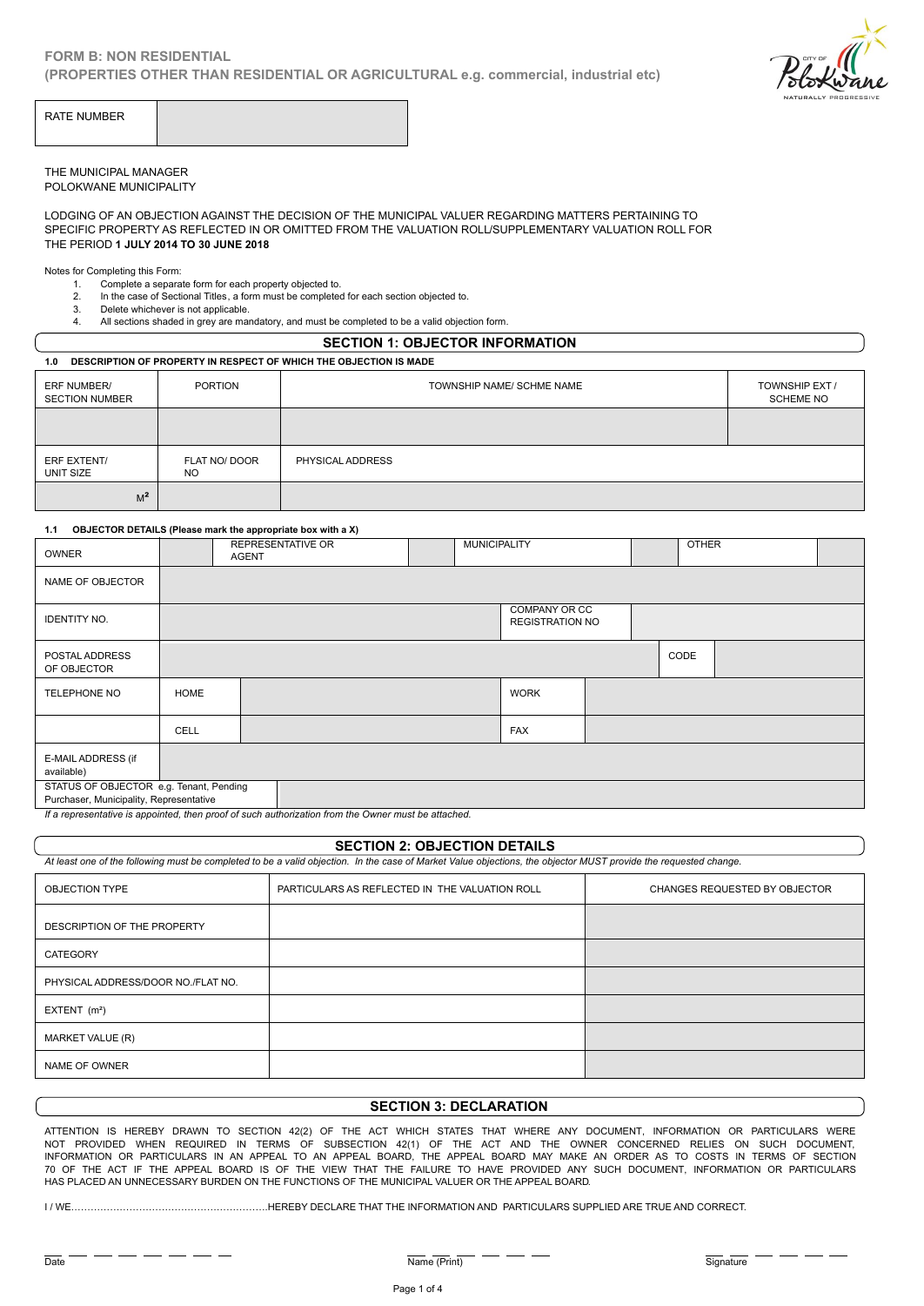**(PROPERTIES OTHER THAN RESIDENTIAL OR AGRICULTURAL e.g. commercial, industrial etc)** 



THE MUNICIPAL MANAGER POLOKWANE MUNICIPALITY

LODGING OF AN OBJECTION AGAINST THE DECISION OF THE MUNICIPAL VALUER REGARDING MATTERS PERTAINING TO SPECIFIC PROPERTY AS REFLECTED IN OR OMITTED FROM THE VALUATION ROLL/SUPPLEMENTARY VALUATION ROLL FOR THE PERIOD **1 JULY 2014 TO 30 JUNE 2018** MUNICIPAL MANAGER<br>2. ING OF AN OBJECTION AGAINST THE DECISION OF THE MUNICIPAL VALUER REGAINED TRIGNAL THE SALUATION ASSALT THE DECISION OF THE MUNICIPAL VALUER REGAINED TRIGNAL THE VALUATION ROLL SUPP<br>2. The case of Secti MUNICIPAL MANAGER<br>
SKWANE MUNICIPALITY<br>
SING OF AN OBJECTION AGAINST THE DEC<br>
SING OF AN OBJECTION AGAINST THE DEC<br>
FIFIC PROPERTY AS REFLECTED IN OR OM<br>
1. Completing this Form:<br>
1. The case of Sectional Titles, a form mu MUNICIPAL MANAGER<br>
HING OF AN OBJECTION AGAINST THE DECISION OF THE MUNICIPAL VALUER REGARDING<br>
IFIC PROPERTY AS REFLECTED IN OR OMITTED FROM THE VALUATION ROLL/SUPPLEMEN<br>
PERIOD 1 JULY 2014 TO 30 JUNE 2018<br>
1. Complete a

Notes for Completing this Form:

- 1. Complete a separate form for each property objected to.
- 
- 
- 

| <b>SECTION 1: OBJECTOR INFORMATION</b>                             |                            |                                                                   |                                                          |                     |  |              |  |  |  |  |
|--------------------------------------------------------------------|----------------------------|-------------------------------------------------------------------|----------------------------------------------------------|---------------------|--|--------------|--|--|--|--|
| 1.0                                                                |                            | DESCRIPTION OF PROPERTY IN RESPECT OF WHICH THE OBJECTION IS MADE |                                                          |                     |  |              |  |  |  |  |
| ERF NUMBER/<br><b>SECTION NUMBER</b>                               | PORTION                    |                                                                   | TOWNSHIP NAME/ SCHME NAME<br>TOWNSHIP EXT /<br>SCHEME NO |                     |  |              |  |  |  |  |
|                                                                    |                            |                                                                   |                                                          |                     |  |              |  |  |  |  |
| ERF EXTENT/<br>UNIT SIZE                                           | FLAT NO/ DOOR<br><b>NO</b> | PHYSICAL ADDRESS                                                  |                                                          |                     |  |              |  |  |  |  |
| $M^2$                                                              |                            |                                                                   |                                                          |                     |  |              |  |  |  |  |
| OBJECTOR DETAILS (Please mark the appropriate box with a X)<br>1.1 |                            |                                                                   |                                                          |                     |  |              |  |  |  |  |
| <b>OWNER</b>                                                       | <b>AGENT</b>               | <b>REPRESENTATIVE OR</b>                                          |                                                          | <b>MUNICIPALITY</b> |  | <b>OTHER</b> |  |  |  |  |
|                                                                    |                            |                                                                   |                                                          |                     |  |              |  |  |  |  |

| OWNER                                                                              |      | <b>REPRESENTATIVE OR</b><br>AGENT       |  |  | <b>MUNICIPALITY</b> |             |  | <b>OTHER</b> |  |
|------------------------------------------------------------------------------------|------|-----------------------------------------|--|--|---------------------|-------------|--|--------------|--|
| NAME OF OBJECTOR                                                                   |      |                                         |  |  |                     |             |  |              |  |
| <b>IDENTITY NO.</b>                                                                |      | COMPANY OR CC<br><b>REGISTRATION NO</b> |  |  |                     |             |  |              |  |
| POSTAL ADDRESS<br>OF OBJECTOR                                                      |      |                                         |  |  |                     |             |  | CODE         |  |
| TELEPHONE NO                                                                       | HOME |                                         |  |  |                     | <b>WORK</b> |  |              |  |
|                                                                                    | CELL |                                         |  |  |                     | <b>FAX</b>  |  |              |  |
| E-MAIL ADDRESS (if<br>available)                                                   |      |                                         |  |  |                     |             |  |              |  |
| STATUS OF OBJECTOR e.g. Tenant, Pending<br>Purchaser, Municipality, Representative |      |                                         |  |  |                     |             |  |              |  |

*If a representative is appointed, then proof of such authorization from the Owner must be attached.*

### **SECTION 2: OBJECTION DETAILS**

*At least one of the following must be completed to be a valid objection. In the case of Market Value objections, the objector MUST provide the requested change.*

| <b>OBJECTION TYPE</b>              | PARTICULARS AS REFLECTED IN THE VALUATION ROLL | CHANGES REQUESTED BY OBJECTOR |
|------------------------------------|------------------------------------------------|-------------------------------|
| DESCRIPTION OF THE PROPERTY        |                                                |                               |
| CATEGORY                           |                                                |                               |
| PHYSICAL ADDRESS/DOOR NO./FLAT NO. |                                                |                               |
| EXTENT $(m2)$                      |                                                |                               |
| MARKET VALUE (R)                   |                                                |                               |
| NAME OF OWNER                      |                                                |                               |

## **SECTION 3: DECLARATION**

ATTENTION IS HEREBY DRAWN TO SECTION 42(2) OF THE ACT WHICH STATES THAT WHERE ANY DOCUMENT, INFORMATION OR PARTICULARS WERE NOT PROVIDED WHEN REQUIRED IN TERMS OF SUBSECTION 42(1) OF THE ACT AND THE OWNER CONCERNED RELIES ON SUCH DOCUMENT, INFORMATION OR PARTICULARS IN AN APPEAL TO AN APPEAL BOARD, THE APPEAL BOARD MAY MAKE AN ORDER AS TO COSTS IN TERMS OF SECTION 70 OF THE ACT IF THE APPEAL BOARD IS OF THE VIEW THAT THE FAILURE TO HAVE PROVIDED ANY SUCH DOCUMENT, INFORMATION OR PARTICULARS HAS PLACED AN UNNECESSARY BURDEN ON THE FUNCTIONS OF THE MUNICIPAL VALUER OR THE APPEAL BOARD.

I / WE…………………………………………………….HEREBY DECLARE THAT THE INFORMATION AND PARTICULARS SUPPLIED ARE TRUE AND CORRECT.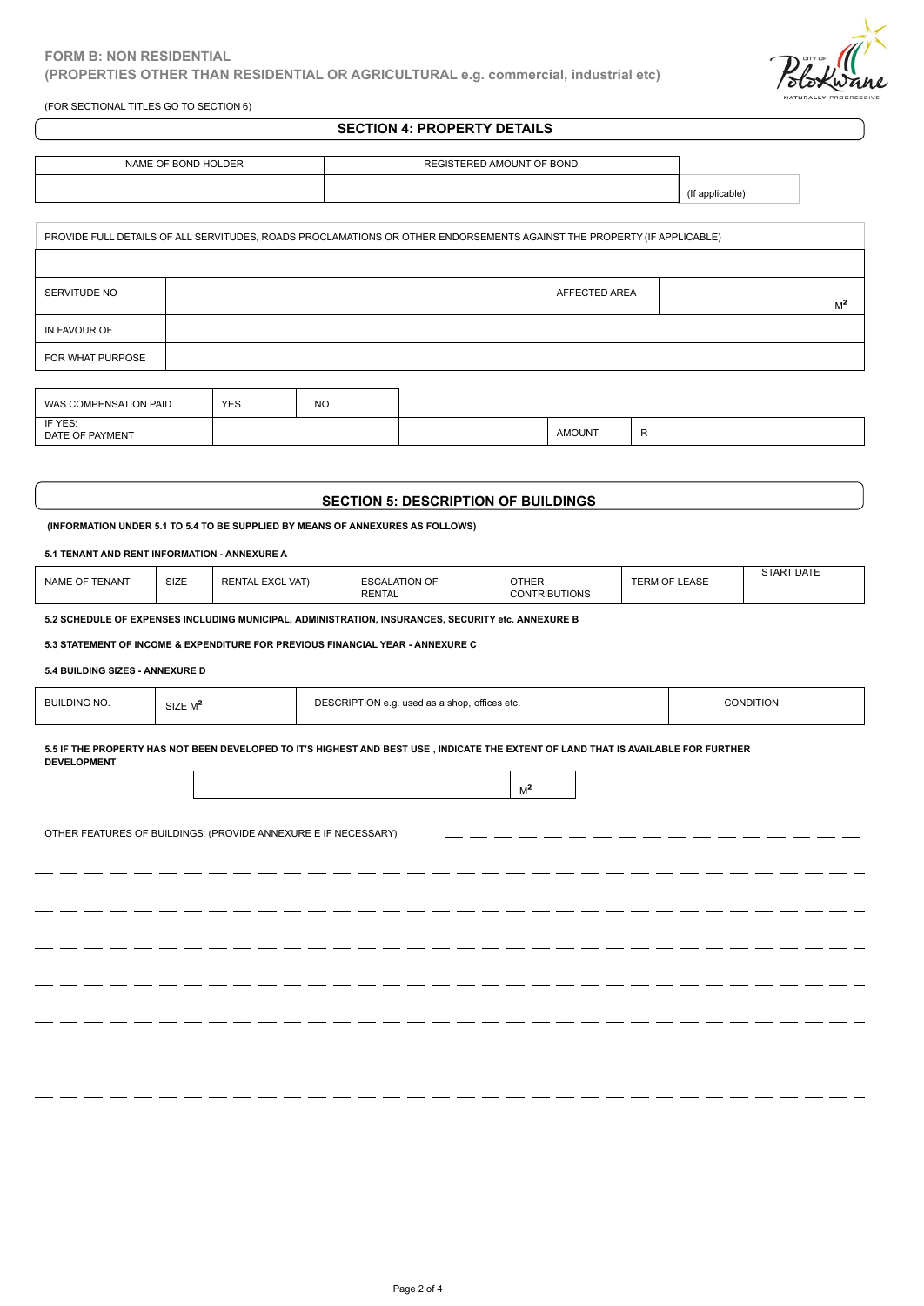(FOR SECTIONAL TITLES GO TO SECTION 6)

# **SECTION 4: PROPERTY DETAILS**

/dokwane

| NAME OF BOND HOLDER | REGISTERED AMOUNT OF BOND |  |
|---------------------|---------------------------|--|
|                     |                           |  |
|                     |                           |  |

|                            |            |           | PROVIDE FULL DETAILS OF ALL SERVITUDES, ROADS PROCLAMATIONS OR OTHER ENDORSEMENTS AGAINST THE PROPERTY (IF APPLICABLE) |               |                |
|----------------------------|------------|-----------|------------------------------------------------------------------------------------------------------------------------|---------------|----------------|
|                            |            |           |                                                                                                                        |               |                |
| SERVITUDE NO               |            |           |                                                                                                                        | AFFECTED AREA | M <sup>2</sup> |
| IN FAVOUR OF               |            |           |                                                                                                                        |               |                |
| FOR WHAT PURPOSE           |            |           |                                                                                                                        |               |                |
|                            |            |           |                                                                                                                        |               |                |
| WAS COMPENSATION PAID      | <b>YES</b> | <b>NO</b> |                                                                                                                        |               |                |
| IF YES:<br>DATE OF PAYMENT |            |           |                                                                                                                        | <b>AMOUNT</b> | R              |
|                            |            |           |                                                                                                                        |               |                |

| $I = VI$<br>. .<br>.<br>-- --<br>DATE<br>۳μ<br><b>IVICIN I</b><br>$\sim$ |  | <b>AMOUN</b> |  |
|--------------------------------------------------------------------------|--|--------------|--|
|                                                                          |  |              |  |

## **SECTION 5: DESCRIPTION OF BUILDINGS**

| DATE OF PAYMENT                              |             |                         |                                                                                                    | <b>AMOUNT</b>                        | R                    |                   |
|----------------------------------------------|-------------|-------------------------|----------------------------------------------------------------------------------------------------|--------------------------------------|----------------------|-------------------|
|                                              |             |                         |                                                                                                    |                                      |                      |                   |
|                                              |             |                         |                                                                                                    |                                      |                      |                   |
|                                              |             |                         | <b>SECTION 5: DESCRIPTION OF BUILDINGS</b>                                                         |                                      |                      |                   |
|                                              |             |                         | (INFORMATION UNDER 5.1 TO 5.4 TO BE SUPPLIED BY MEANS OF ANNEXURES AS FOLLOWS)                     |                                      |                      |                   |
| 5.1 TENANT AND RENT INFORMATION - ANNEXURE A |             |                         |                                                                                                    |                                      |                      |                   |
| NAME OF TENANT                               | <b>SIZE</b> | <b>RENTAL EXCL VAT)</b> | <b>ESCALATION OF</b><br><b>RENTAL</b>                                                              | <b>OTHER</b><br><b>CONTRIBUTIONS</b> | <b>TERM OF LEASE</b> | <b>START DATE</b> |
|                                              |             |                         | 5.2 SCHEDULE OF EXPENSES INCLUDING MUNICIPAL, ADMINISTRATION, INSURANCES, SECURITY etc. ANNEXURE B |                                      |                      |                   |

**5.2 SCHEDULE OF EXPENSES INCLUDING MUNICIPAL, ADMINISTRATION, INSURANCES, SECURITY etc. ANNEXURE B**

**5.3 STATEMENT OF INCOME & EXPENDITURE FOR PREVIOUS FINANCIAL YEAR - ANNEXURE C**

#### **5.4 BUILDING SIZES - ANNEXURE D**

- -

| <b>BUILDING NO.</b><br><b>CONDITION</b><br>DESCRIPTION e.g. used as a shop, offices etc.<br>SIZE M <sup>2</sup> |
|-----------------------------------------------------------------------------------------------------------------|
|-----------------------------------------------------------------------------------------------------------------|

- -- -- -

- -

- -

— — - -- -- -- -

 $-$ 

**5.5 IF THE PROPERTY HAS NOT BEEN DEVELOPED TO IT'S HIGHEST AND BEST USE , INDICATE THE EXTENT OF LAND THAT IS AVAILABLE FOR FURTHER DEVELOPMENT**

- -- -

 $-$ 

\_ \_\_ \_\_ \_\_ \_\_ \_\_

 $-$ 

---------

OTHER FEATURES OF BUILDINGS: (PROVIDE ANNEXURE E IF NECESSARY)

 $\overline{\phantom{a}}$ 

- -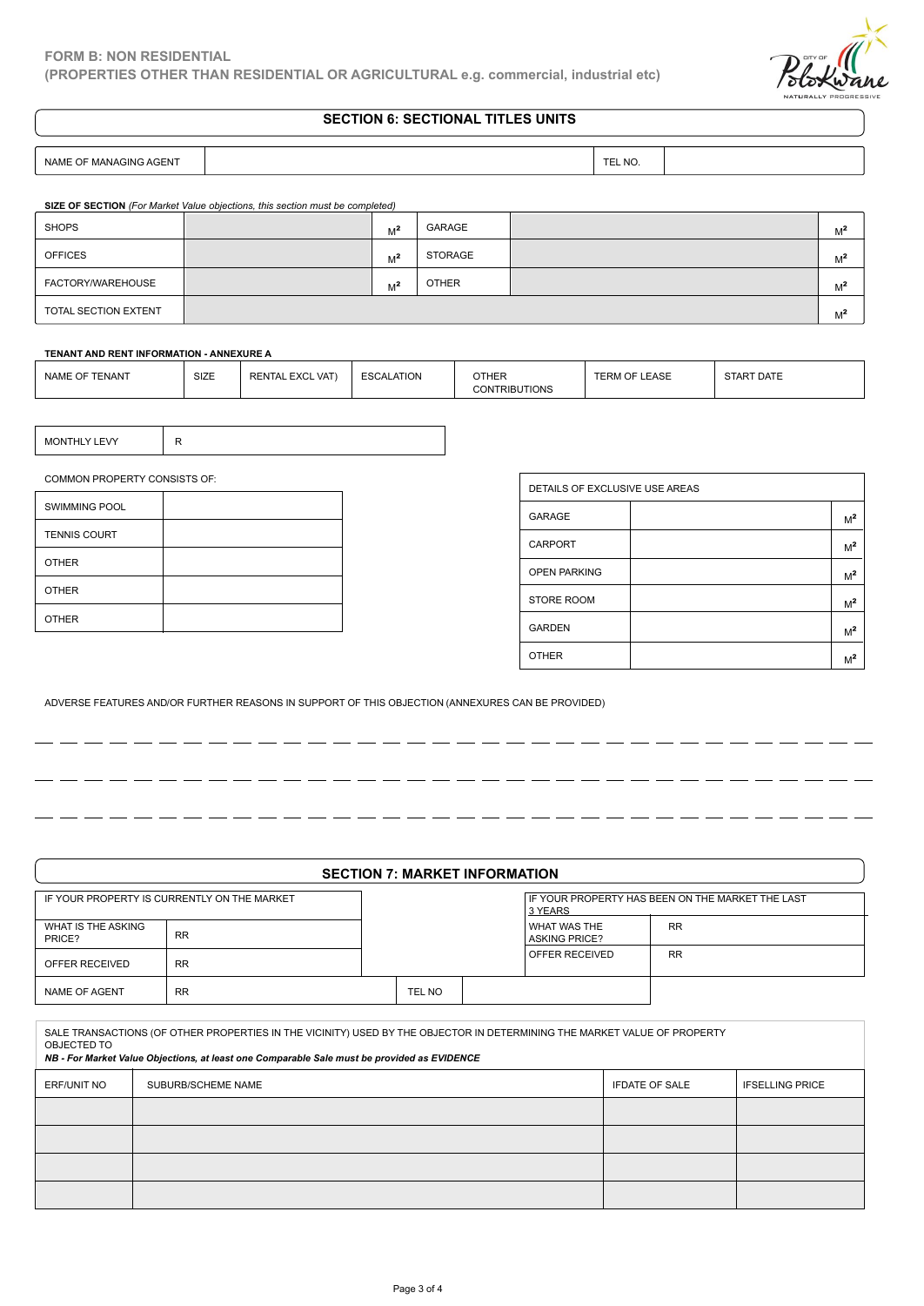

# **SECTION 6: SECTIONAL TITLES UNITS**

NAME OF MANAGING AGENT **TEL NO.** THE MO.

- - -

 $-$ - -

| SIZE OF SECTION (For Market Value objections, this section must be completed) |      |                         |            |                |              |                      |                                           |                |                |
|-------------------------------------------------------------------------------|------|-------------------------|------------|----------------|--------------|----------------------|-------------------------------------------|----------------|----------------|
| <b>SHOPS</b>                                                                  |      |                         | $M^2$      | GARAGE         |              |                      |                                           |                | M <sup>2</sup> |
| <b>OFFICES</b>                                                                |      |                         | $M^2$      | <b>STORAGE</b> |              | $M^2$                |                                           |                |                |
| FACTORY/WAREHOUSE                                                             |      |                         | $M^2$      | <b>OTHER</b>   |              |                      |                                           |                | M <sup>2</sup> |
| TOTAL SECTION EXTENT                                                          |      |                         |            |                |              |                      |                                           | M <sup>2</sup> |                |
| TENANT AND RENT INFORMATION - ANNEXURE A                                      |      |                         |            |                |              |                      |                                           |                |                |
| NAME OF TENANT                                                                | SIZE | <b>RENTAL EXCL VAT)</b> | ESCALATION |                | <b>OTHER</b> | <b>CONTRIBUTIONS</b> | <b>START DATE</b><br><b>TERM OF LEASE</b> |                |                |
|                                                                               |      |                         |            |                |              |                      |                                           |                |                |

#### **TENANT AND RENT INFORMATION - ANNEXURE A**

| SIZE<br>NAME OF TENANT | <b>EXCL VAT</b><br>RENTAL. | <b>ESCALATION</b><br>-53 | ^TI IF D<br>IHER<br>TIONS<br>[RIBI] | <b>.EASE</b><br>∼RM | STAR<br>DAIL |  |
|------------------------|----------------------------|--------------------------|-------------------------------------|---------------------|--------------|--|
|------------------------|----------------------------|--------------------------|-------------------------------------|---------------------|--------------|--|

| MONTHLY LEVY |  |
|--------------|--|
|              |  |

COMMON PROPERTY CONSISTS OF:

| <b>SWIMMING POOL</b> |  |
|----------------------|--|
| <b>TENNIS COURT</b>  |  |
| <b>OTHER</b>         |  |
| <b>OTHER</b>         |  |
| <b>OTHER</b>         |  |

 $-$ 

\_\_\_\_\_\_

| DETAILS OF EXCLUSIVE USE AREAS |                |
|--------------------------------|----------------|
| GARAGE                         | $M^2$          |
| <b>CARPORT</b>                 | $M^2$          |
| <b>OPEN PARKING</b>            | M <sup>2</sup> |
| <b>STORE ROOM</b>              | M <sup>2</sup> |
| <b>GARDEN</b>                  | M <sup>2</sup> |
| <b>OTHER</b>                   | M <sup>2</sup> |

----------

 $-$ 

 $-$ 

ADVERSE FEATURES AND/OR FURTHER REASONS IN SUPPORT OF THIS OBJECTION (ANNEXURES CAN BE PROVIDED)

|                              |                                             | <b>SECTION 7: MARKET INFORMATION</b> |                                        |                                                  |
|------------------------------|---------------------------------------------|--------------------------------------|----------------------------------------|--------------------------------------------------|
|                              | IF YOUR PROPERTY IS CURRENTLY ON THE MARKET |                                      | 3 YEARS                                | IF YOUR PROPERTY HAS BEEN ON THE MARKET THE LAST |
| WHAT IS THE ASKING<br>PRICE? | <b>RR</b>                                   |                                      | I WHAT WAS THE<br><b>ASKING PRICE?</b> | <b>RR</b>                                        |
| OFFER RECEIVED               | <b>RR</b>                                   |                                      | OFFER RECEIVED                         | <b>RR</b>                                        |
| <b>NAME OF AGENT</b>         | <b>RR</b>                                   | TEL NO                               |                                        |                                                  |

SALE TRANSACTIONS (OF OTHER PROPERTIES IN THE VICINITY) USED BY THE OBJECTOR IN DETERMINING THE MARKET VALUE OF PROPERTY OBJECTED TO *NB - For Market Value Objections, at least one Comparable Sale must be provided as EVIDENCE* ERF/UNIT NO SUBURB/SCHEME NAME IFDATE OF SALE IFSELLING PRICE